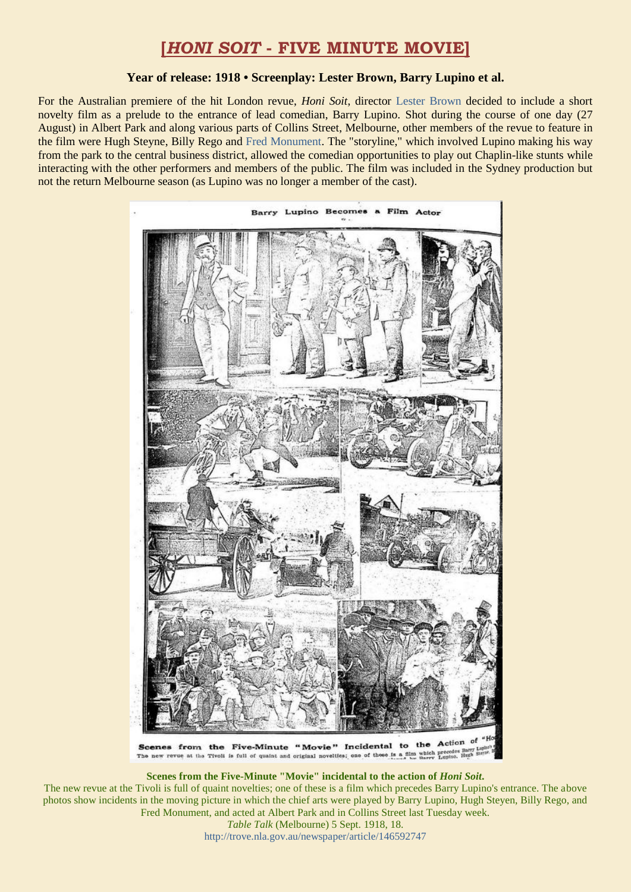## **[***HONI SOIT* **- FIVE MINUTE MOVIE]**

## **Year of release: 1918 • Screenplay: Lester Brown, Barry Lupino et al.**

For the Australian premiere of the hit London revue, *Honi Soit*, director [Lester Brown](https://ozvta.com/practitioners-b/) decided to include a short novelty film as a prelude to the entrance of lead comedian, Barry Lupino. Shot during the course of one day (27 August) in Albert Park and along various parts of Collins Street, Melbourne, other members of the revue to feature in the film were Hugh Steyne, Billy Rego and [Fred Monument.](https://ozvta.com/practitioners-m/) The "storyline," which involved Lupino making his way from the park to the central business district, allowed the comedian opportunities to play out Chaplin-like stunts while interacting with the other performers and members of the public. The film was included in the Sydney production but not the return Melbourne season (as Lupino was no longer a member of the cast).



**Scenes from the Five-Minute "Movie" incidental to the action of** *Honi Soit***.**

The new revue at the Tivoli is full of quaint novelties; one of these is a film which precedes Barry Lupino's entrance. The above photos show incidents in the moving picture in which the chief arts were played by Barry Lupino, Hugh Steyen, Billy Rego, and Fred Monument, and acted at Albert Park and in Collins Street last Tuesday week.

*Table Talk* (Melbourne) 5 Sept. 1918, 18. <http://trove.nla.gov.au/newspaper/article/146592747>